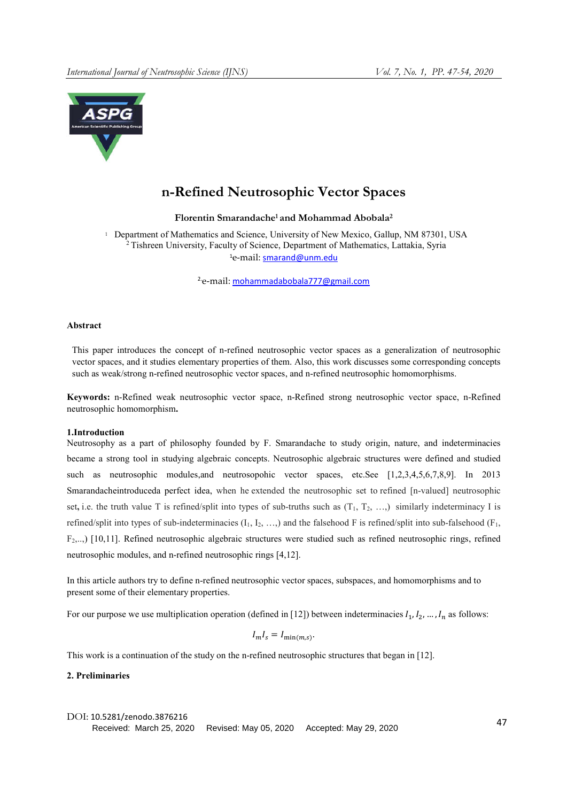

# n-Refined Neutrosophic Vector Spaces

Florentin Smarandache<sup>1</sup> and Mohammad Abobala<sup>2</sup>

<sup>1</sup> Department of Mathematics and Science, University of New Mexico, Gallup, NM 87301, USA <sup>2</sup> Tishreen University, Faculty of Science, Department of Mathematics, Lattakia, Syria <sup>1</sup>e-mail: smarand@unm.edu

2.e-mail: mohammadabobala777@gmail.com

#### Abstract

This paper introduces the concept of n-refined neutrosophic vector spaces as a generalization of neutrosophic vector spaces, and it studies elementary properties of them. Also, this work discusses some corresponding concepts such as weak/strong n-refined neutrosophic vector spaces, and n-refined neutrosophic homomorphisms.

Keywords: n-Refined weak neutrosophic vector space, n-Refined strong neutrosophic vector space, n-Refined neutrosophic homomorphism.

## 1.Introduction

Neutrosophy as a part of philosophy founded by F. Smarandache to study origin, nature, and indeterminacies became a strong tool in studying algebraic concepts. Neutrosophic algebraic structures were defined and studied such as neutrosophic modules,and neutrosopohic vector spaces, etc.See [1,2,3,4,5,6,7,8,9]. In 2013 Smarandacheintroduceda perfect idea, when he extended the neutrosophic set to refined [n-valued] neutrosophic set, i.e. the truth value T is refined/split into types of sub-truths such as  $(T_1, T_2, \ldots)$  similarly indeterminacy I is refined/split into types of sub-indeterminacies  $(I_1, I_2, ...)$  and the falsehood F is refined/split into sub-falsehood  $(F_1, F_2, ...)$ F2,..,) [10,11]. Refined neutrosophic algebraic structures were studied such as refined neutrosophic rings, refined neutrosophic modules, and n-refined neutrosophic rings [4,12].

In this article authors try to define n-refined neutrosophic vector spaces, subspaces, and homomorphisms and to present some of their elementary properties.

For our purpose we use multiplication operation (defined in [12]) between indeterminacies  $I_1, I_2, ..., I_n$  as follows:

 $I_m I_s = I_{\min(m.s)}$ .

This work is a continuation of the study on the n-refined neutrosophic structures that began in [12].

2. Preliminaries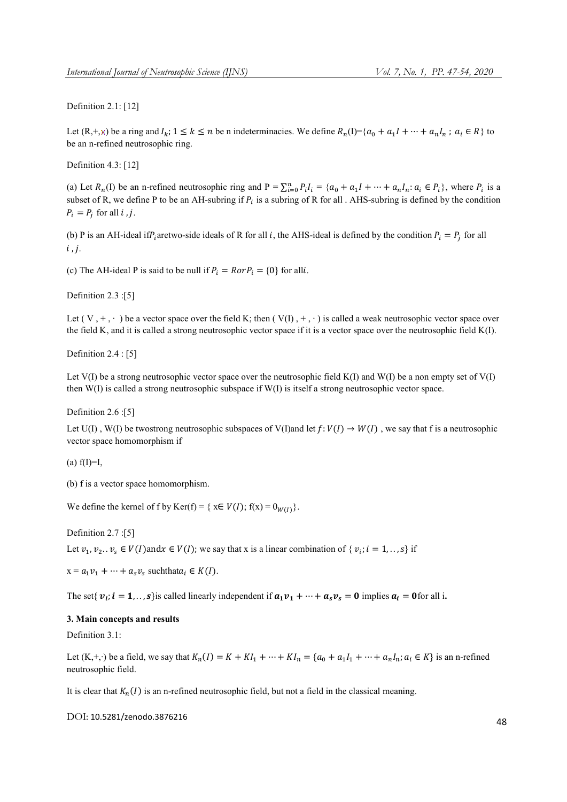Definition 2.1: [12]

Let  $(R, +, \times)$  be a ring and  $I_k$ ;  $1 \le k \le n$  be n indeterminacies. We define  $R_n(I) = \{a_0 + a_1I + \cdots + a_nI_n : a_i \in R\}$  to be an n-refined neutrosophic ring.

Definition 4.3: [12]

(a) Let  $R_n(I)$  be an n-refined neutrosophic ring and  $P = \sum_{i=0}^{n} P_i I_i = \{a_0 + a_1 I + \dots + a_n I_n : a_i \in P_i\}$ , where  $P_i$  is a subset of R, we define P to be an AH-subring if  $P_i$  is a subring of R for all . AHS-subring is defined by the condition  $P_i = P_i$  for all *i*, *j*.

(b) P is an AH-ideal if  $P_i$  aretwo-side ideals of R for all i, the AHS-ideal is defined by the condition  $P_i = P_i$  for all  $i$ ,  $i$ ,

(c) The AH-ideal P is said to be null if  $P_i = R \cdot P_i = \{0\}$  for alli.

Definition 2.3 :[5]

Let  $(V, +, \cdot)$  be a vector space over the field K; then  $(V(I), +, \cdot)$  is called a weak neutrosophic vector space over the field K, and it is called a strong neutrosophic vector space if it is a vector space over the neutrosophic field K(I).

Definition 2.4 : [5]

Let V(I) be a strong neutrosophic vector space over the neutrosophic field K(I) and W(I) be a non empty set of V(I) then W(I) is called a strong neutrosophic subspace if W(I) is itself a strong neutrosophic vector space.

Definition 2.6 :[5]

Let U(I), W(I) be twostrong neutrosophic subspaces of V(I)and let  $f: V(I) \to W(I)$ , we say that f is a neutrosophic vector space homomorphism if

 $(a)$  f(I)=I,

(b) f is a vector space homomorphism.

We define the kernel of f by Ker(f) = {  $x \in V(I)$ ;  $f(x) = 0_{W(I)}$  }.

Definition 2.7 :[5] Let  $v_1, v_2, v_s \in V(I)$  and  $x \in V(I)$ ; we say that x is a linear combination of  $\{v_i; i = 1, \ldots, s\}$  if

 $x = a_1 v_1 + \dots + a_s v_s$  such that  $a_i \in K(I)$ .

The set{  $v_i$ ;  $i = 1, \ldots, s$ } is called linearly independent if  $a_1v_1 + \cdots + a_sv_s = 0$  implies  $a_i = 0$  for all i.

## 3. Main concepts and results

Definition 3.1:

Let  $(K, +, \cdot)$  be a field, we say that  $K_n(I) = K + K I_1 + \cdots + K I_n = \{a_0 + a_1 I_1 + \cdots + a_n I_n : a_i \in K\}$  is an n-refined neutrosophic field.

It is clear that  $K_n(I)$  is an n-refined neutrosophic field, but not a field in the classical meaning.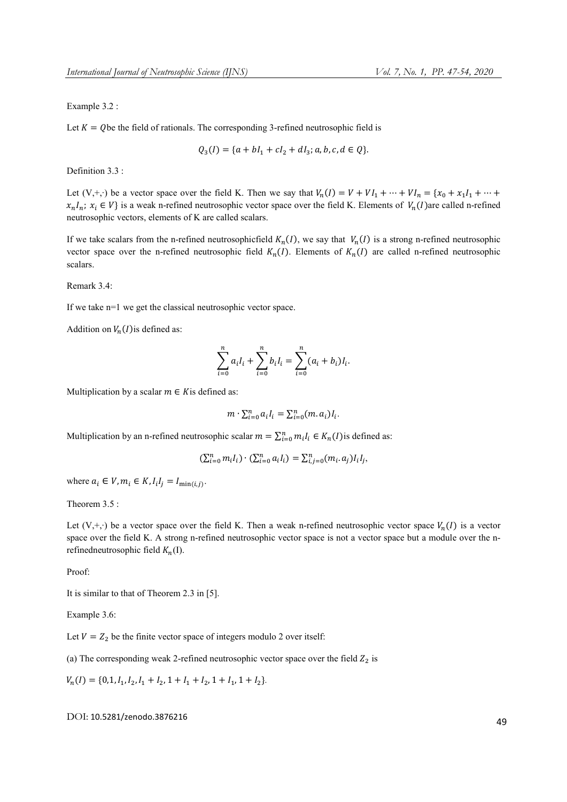#### Example 3.2 :

Let  $K = Q$  be the field of rationals. The corresponding 3-refined neutrosophic field is

$$
Q_3(I) = \{a + bI_1 + cI_2 + dI_3; a, b, c, d \in Q\}.
$$

Definition 3.3 :

Let (V,+,⋅) be a vector space over the field K. Then we say that  $V_n(I) = V + VI_1 + \cdots + VI_n = \{x_0 + x_1I_1 + \cdots + x_nI_n\}$  $x_n I_n$ ;  $x_i \in V$  is a weak n-refined neutrosophic vector space over the field K. Elements of  $V_n(I)$  are called n-refined neutrosophic vectors, elements of K are called scalars.

If we take scalars from the n-refined neutrosophicfield  $K_n(I)$ , we say that  $V_n(I)$  is a strong n-refined neutrosophic vector space over the n-refined neutrosophic field  $K_n(I)$ . Elements of  $K_n(I)$  are called n-refined neutrosophic scalars.

Remark 3.4:

If we take n=1 we get the classical neutrosophic vector space.

Addition on  $V_n(I)$  is defined as:

$$
\sum_{i=0}^{n} a_i I_i + \sum_{i=0}^{n} b_i I_i = \sum_{i=0}^{n} (a_i + b_i) I_i.
$$

Multiplication by a scalar  $m \in K$  is defined as:

$$
m \cdot \sum_{i=0}^n a_i I_i = \sum_{i=0}^n (m a_i) I_i.
$$

Multiplication by an n-refined neutrosophic scalar  $m = \sum_{i=0}^{n} m_i I_i \in K_n(I)$  is defined as:

$$
(\sum_{i=0}^{n} m_i I_i) \cdot (\sum_{i=0}^{n} a_i I_i) = \sum_{i,j=0}^{n} (m_i a_j) I_i I_j,
$$

where  $a_i \in V$ ,  $m_i \in K$ ,  $I_i I_j = I_{\min(i,j)}$ .

Theorem 3.5 :

Let  $(V, +, \cdot)$  be a vector space over the field K. Then a weak n-refined neutrosophic vector space  $V_n(I)$  is a vector space over the field K. A strong n-refined neutrosophic vector space is not a vector space but a module over the nrefinedneutrosophic field  $K_n(I)$ .

Proof:

It is similar to that of Theorem 2.3 in [5].

Example 3.6:

Let  $V = Z_2$  be the finite vector space of integers modulo 2 over itself:

(a) The corresponding weak 2-refined neutrosophic vector space over the field  $Z_2$  is

$$
V_n(I) = \{0, 1, I_1, I_2, I_1 + I_2, 1 + I_1 + I_2, 1 + I_1, 1 + I_2\}.
$$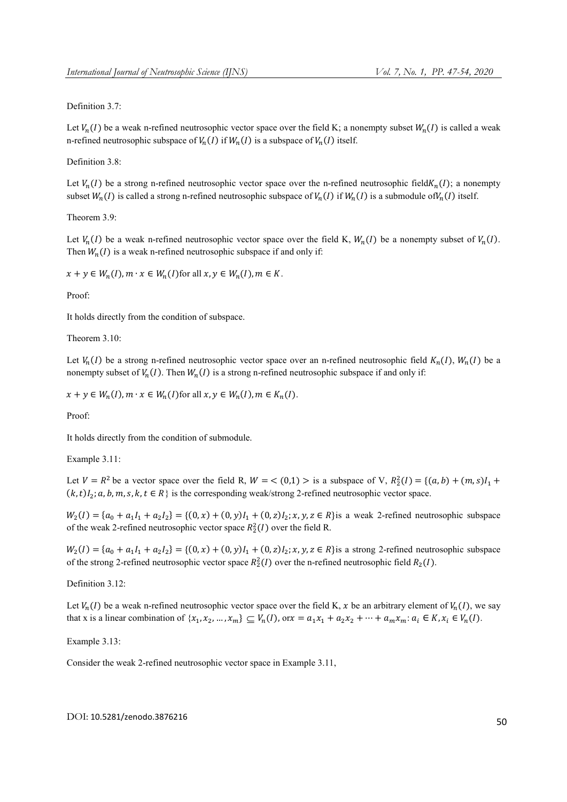Definition 3.7:

Let  $V_n(I)$  be a weak n-refined neutrosophic vector space over the field K; a nonempty subset  $W_n(I)$  is called a weak n-refined neutrosophic subspace of  $V_n(I)$  if  $W_n(I)$  is a subspace of  $V_n(I)$  itself.

Definition 3.8:

Let  $V_n(I)$  be a strong n-refined neutrosophic vector space over the n-refined neutrosophic field $K_n(I)$ ; a nonempty subset  $W_n(I)$  is called a strong n-refined neutrosophic subspace of  $V_n(I)$  if  $W_n(I)$  is a submodule of  $V_n(I)$  itself.

Theorem 3.9:

Let  $V_n(I)$  be a weak n-refined neutrosophic vector space over the field K,  $W_n(I)$  be a nonempty subset of  $V_n(I)$ . Then  $W_n(I)$  is a weak n-refined neutrosophic subspace if and only if:

 $x + y \in W_n(I), m \cdot x \in W_n(I)$  for all  $x, y \in W_n(I), m \in K$ .

Proof:

It holds directly from the condition of subspace.

Theorem 3.10:

Let  $V_n(I)$  be a strong n-refined neutrosophic vector space over an n-refined neutrosophic field  $K_n(I)$ ,  $W_n(I)$  be a nonempty subset of  $V_n(I)$ . Then  $W_n(I)$  is a strong n-refined neutrosophic subspace if and only if:

 $x + y \in W_n(I), m \cdot x \in W_n(I)$  for all  $x, y \in W_n(I), m \in K_n(I)$ .

Proof:

It holds directly from the condition of submodule.

Example 3.11:

Let  $V = R^2$  be a vector space over the field R,  $W = \langle 0,1 \rangle > 0$  is a subspace of V,  $R_2^2(I) = \{(a,b) + (m,s)I_1 +$  $(k, t)I_2; a, b, m, s, k, t \in R$  is the corresponding weak/strong 2-refined neutrosophic vector space.

 $W_2(I) = \{a_0 + a_1I_1 + a_2I_2\} = \{(0, x) + (0, y)I_1 + (0, z)I_2; x, y, z \in R\}$ is a weak 2-refined neutrosophic subspace of the weak 2-refined neutrosophic vector space  $R_2^2(I)$  over the field R.

 $W_2(I) = \{a_0 + a_1I_1 + a_2I_2\} = \{(0, x) + (0, y)I_1 + (0, z)I_2; x, y, z \in R\}$ is a strong 2-refined neutrosophic subspace of the strong 2-refined neutrosophic vector space  $R_2^2(I)$  over the n-refined neutrosophic field  $R_2(I)$ .

Definition 3.12:

Let  $V_n(I)$  be a weak n-refined neutrosophic vector space over the field K, x be an arbitrary element of  $V_n(I)$ , we say that x is a linear combination of  $\{x_1, x_2, ..., x_m\} \subseteq V_n(I)$ , or  $x = a_1x_1 + a_2x_2 + \cdots + a_mx_m$ :  $a_i \in K$ ,  $x_i \in V_n(I)$ .

Example 3.13:

Consider the weak 2-refined neutrosophic vector space in Example 3.11,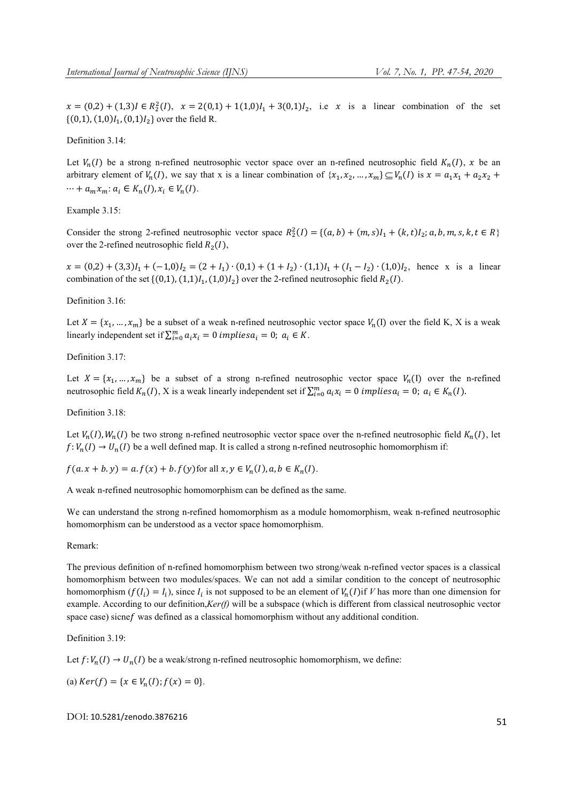$x = (0,2) + (1,3)I \in R_2^2(I)$ ,  $x = 2(0,1) + 1(1,0)I_1 + 3(0,1)I_2$ , i.e x is a linear combination of the set  $\{(0,1), (1,0)I_1, (0,1)I_2\}$  over the field R.

Definition 3.14:

Let  $V_n(I)$  be a strong n-refined neutrosophic vector space over an n-refined neutrosophic field  $K_n(I)$ , x be an arbitrary element of  $V_n(I)$ , we say that x is a linear combination of  $\{x_1, x_2, ..., x_m\} \subseteq V_n(I)$  is  $x = a_1x_1 + a_2x_2 +$  $\cdots + a_m x_m$ :  $a_i \in K_n(I), x_i \in V_n(I)$ .

Example 3.15:

Consider the strong 2-refined neutrosophic vector space  $R_2^2(I) = \{(a, b) + (m, s)I_1 + (k, t)I_2; a, b, m, s, k, t \in R\}$ over the 2-refined neutrosophic field  $R_2(I)$ ,

 $x = (0,2) + (3,3)I_1 + (-1,0)I_2 = (2 + I_1) \cdot (0,1) + (1 + I_2) \cdot (1,1)I_1 + (I_1 - I_2) \cdot (1,0)I_2$ , hence x is a linear combination of the set  $\{(0,1), (1,1)I_1, (1,0)I_2\}$  over the 2-refined neutrosophic field  $R_2(I)$ .

Definition 3.16:

Let  $X = \{x_1, ..., x_m\}$  be a subset of a weak n-refined neutrosophic vector space  $V_n(I)$  over the field K, X is a weak linearly independent set if  $\sum_{i=0}^{m} a_i x_i = 0$  implies  $a_i = 0$ ;  $a_i \in K$ .

Definition 3.17:

Let  $X = \{x_1, ..., x_m\}$  be a subset of a strong n-refined neutrosophic vector space  $V_n(1)$  over the n-refined neutrosophic field  $K_n(I)$ , X is a weak linearly independent set if  $\sum_{i=0}^m a_i x_i = 0$  *implies*  $a_i = 0$ ;  $a_i \in K_n(I)$ .

Definition 3.18:

Let  $V_n(I), W_n(I)$  be two strong n-refined neutrosophic vector space over the n-refined neutrosophic field  $K_n(I)$ , let  $f: V_n(I) \to U_n(I)$  be a well defined map. It is called a strong n-refined neutrosophic homomorphism if:

 $f(a.x + b.y) = a.f(x) + b.f(y)$  for all  $x, y \in V_n(I), a, b \in K_n(I)$ .

A weak n-refined neutrosophic homomorphism can be defined as the same.

We can understand the strong n-refined homomorphism as a module homomorphism, weak n-refined neutrosophic homomorphism can be understood as a vector space homomorphism.

Remark:

The previous definition of n-refined homomorphism between two strong/weak n-refined vector spaces is a classical homomorphism between two modules/spaces. We can not add a similar condition to the concept of neutrosophic homomorphism  $(f(I_i) = I_i)$ , since  $I_i$  is not supposed to be an element of  $V_n(I)$  if *V* has more than one dimension for example. According to our definition,*Ker(f)* will be a subspace (which is different from classical neutrosophic vector space case) sicne f was defined as a classical homomorphism without any additional condition.

Definition 3.19:

Let  $f: V_n(I) \to U_n(I)$  be a weak/strong n-refined neutrosophic homomorphism, we define:

(a)  $Ker(f) = \{x \in V_n(I); f(x) = 0\}.$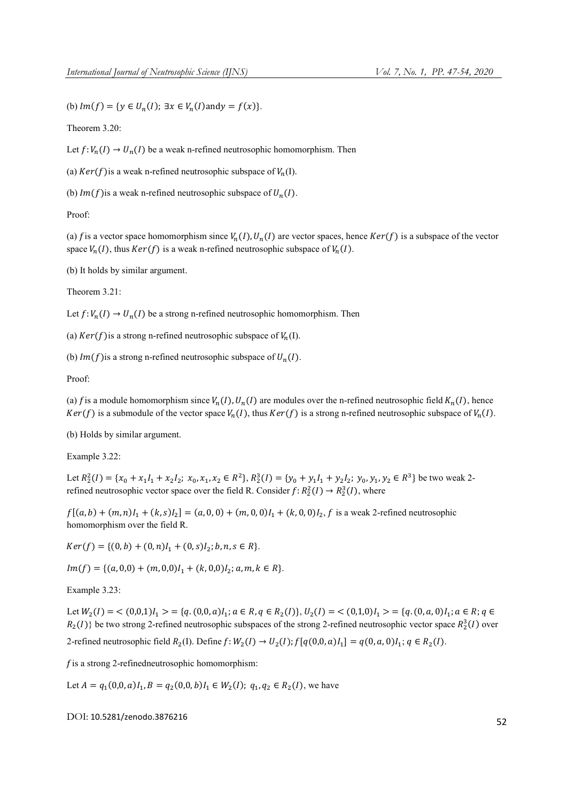(b)  $Im(f) = \{ y \in U_n(I); \exists x \in V_n(I) \text{and} y = f(x) \}.$ 

Theorem 3.20:

Let  $f: V_n(I) \to U_n(I)$  be a weak n-refined neutrosophic homomorphism. Then

(a)  $Ker(f)$  is a weak n-refined neutrosophic subspace of  $V_n(I)$ .

(b)  $Im(f)$  is a weak n-refined neutrosophic subspace of  $U_n(I)$ .

Proof:

(a) f is a vector space homomorphism since  $V_n(I)$ ,  $U_n(I)$  are vector spaces, hence  $Ker(f)$  is a subspace of the vector space  $V_n(I)$ , thus  $Ker(f)$  is a weak n-refined neutrosophic subspace of  $V_n(I)$ .

(b) It holds by similar argument.

Theorem 3.21:

Let  $f: V_n(I) \to U_n(I)$  be a strong n-refined neutrosophic homomorphism. Then

(a)  $Ker(f)$  is a strong n-refined neutrosophic subspace of  $V_n(I)$ .

(b)  $Im(f)$  is a strong n-refined neutrosophic subspace of  $U_n(I)$ .

Proof:

(a) f is a module homomorphism since  $V_n(I)$ ,  $U_n(I)$  are modules over the n-refined neutrosophic field  $K_n(I)$ , hence  $Ker(f)$  is a submodule of the vector space  $V_n(I)$ , thus  $Ker(f)$  is a strong n-refined neutrosophic subspace of  $V_n(I)$ .

(b) Holds by similar argument.

Example 3.22:

Let  $R_2^2(I) = \{x_0 + x_1I_1 + x_2I_2; x_0, x_1, x_2 \in R^2\}$ ,  $R_2^3(I) = \{y_0 + y_1I_1 + y_2I_2; y_0, y_1, y_2 \in R^3\}$  be two weak 2refined neutrosophic vector space over the field R. Consider  $f: R_2^2(I) \to R_2^3(I)$ , where

 $f[(a, b) + (m, n)I_1 + (k, s)I_2] = (a, 0, 0) + (m, 0, 0)I_1 + (k, 0, 0)I_2$ , f is a weak 2-refined neutrosophic homomorphism over the field R.

 $Ker(f) = \{(0, b) + (0, n)I<sub>1</sub> + (0, s)I<sub>2</sub>; b, n, s \in R\}.$ 

 $Im(f) = \{(a, 0, 0) + (m, 0, 0)I_1 + (k, 0, 0)I_2; a, m, k \in R\}.$ 

Example 3.23:

Let  $W_2(I) = \langle (0,0,1)I_1 \rangle = \{q,(0,0,a)I_1; a \in R, q \in R_2(I)\}\$ ,  $U_2(I) = \langle (0,1,0)I_1 \rangle = \{q,(0,a,0)I_1; a \in R, q \in R\}$  $R_2(I)$ } be two strong 2-refined neutrosophic subspaces of the strong 2-refined neutrosophic vector space  $R_2^3(I)$  over

2-refined neutrosophic field  $R_2(I)$ . Define  $f: W_2(I) \to U_2(I)$ ;  $f[q(0,0, a)I_1] = q(0, a, 0)I_1$ ;  $q \in R_2(I)$ .

 $f$  is a strong 2-refinedneutrosophic homomorphism:

Let  $A = q_1(0,0, a)I_1$ ,  $B = q_2(0,0, b)I_1 \in W_2(I);$   $q_1, q_2 \in R_2(I)$ , we have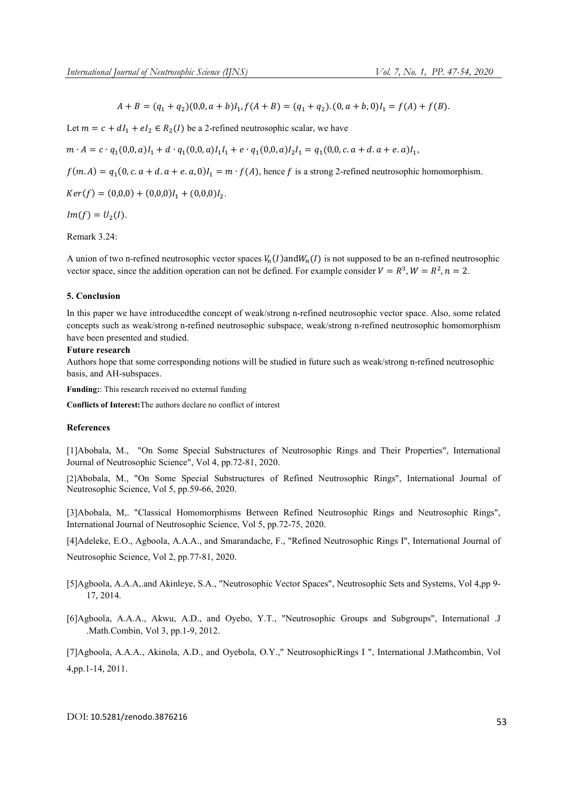$A + B = (q_1 + q_2)(0, 0, a + b)I_1, f(A + B) = (q_1 + q_2) \cdot (0, a + b, 0)I_1 = f(A) + f(B).$ 

Let  $m = c + dI_1 + eI_2 \in R_2(I)$  be a 2-refined neutrosophic scalar, we have

$$
m \cdot A = c \cdot q_1(0,0,a)I_1 + d \cdot q_1(0,0,a)I_1I_1 + e \cdot q_1(0,0,a)I_2I_1 = q_1(0,0,c.a+d.a+e.a)I_1,
$$

 $f(m. A) = q_1(0, c. a + d. a + e. a, 0)I_1 = m \cdot f(A)$ , hence f is a strong 2-refined neutrosophic homomorphism.

 $Ker(f) = (0,0,0) + (0,0,0)I<sub>1</sub> + (0,0,0)I<sub>2</sub>.$ 

 $Im(f) = U_2(I)$ .

Remark 3.24:

A union of two n-refined neutrosophic vector spaces  $V_n(I)$  and  $W_n(I)$  is not supposed to be an n-refined neutrosophic vector space, since the addition operation can not be defined. For example consider  $V = R^3$ ,  $W = R^2$ ,  $n = 2$ .

# 5. Conclusion

In this paper we have introducedthe concept of weak/strong n-refined neutrosophic vector space. Also, some related concepts such as weak/strong n-refined neutrosophic subspace, weak/strong n-refined neutrosophic homomorphism have been presented and studied.

# Future research

Authors hope that some corresponding notions will be studied in future such as weak/strong n-refined neutrosophic basis, and AH-subspaces.

Funding:: This research received no external funding

Conflicts of Interest:The authors declare no conflict of interest

### References

[1]Abobala, M., "On Some Special Substructures of Neutrosophic Rings and Their Properties", International Journal of Neutrosophic Science", Vol 4, pp.72-81, 2020.

[2]Abobala, M., "On Some Special Substructures of Refined Neutrosophic Rings", International Journal of Neutrosophic Science, Vol 5, pp.59-66, 2020.

[3]Abobala, M,. "Classical Homomorphisms Between Refined Neutrosophic Rings and Neutrosophic Rings", International Journal of Neutrosophic Science, Vol 5, pp.72-75, 2020.

[4]Adeleke, E.O., Agboola, A.A.A., and Smarandache, F., "Refined Neutrosophic Rings I", International Journal of

Neutrosophic Science, Vol 2, pp.77-81, 2020.

- [5]Agboola, A.A.A,.and Akinleye, S.A., "Neutrosophic Vector Spaces", Neutrosophic Sets and Systems, Vol 4,pp 9- 17, 2014.
- [6]Agboola, A.A.A., Akwu, A.D., and Oyebo, Y.T., "Neutrosophic Groups and Subgroups", International .J .Math.Combin, Vol 3, pp.1-9, 2012.

[7]Agboola, A.A.A., Akinola, A.D., and Oyebola, O.Y.," NeutrosophicRings I ", International J.Mathcombin, Vol 4,pp.1-14, 2011.